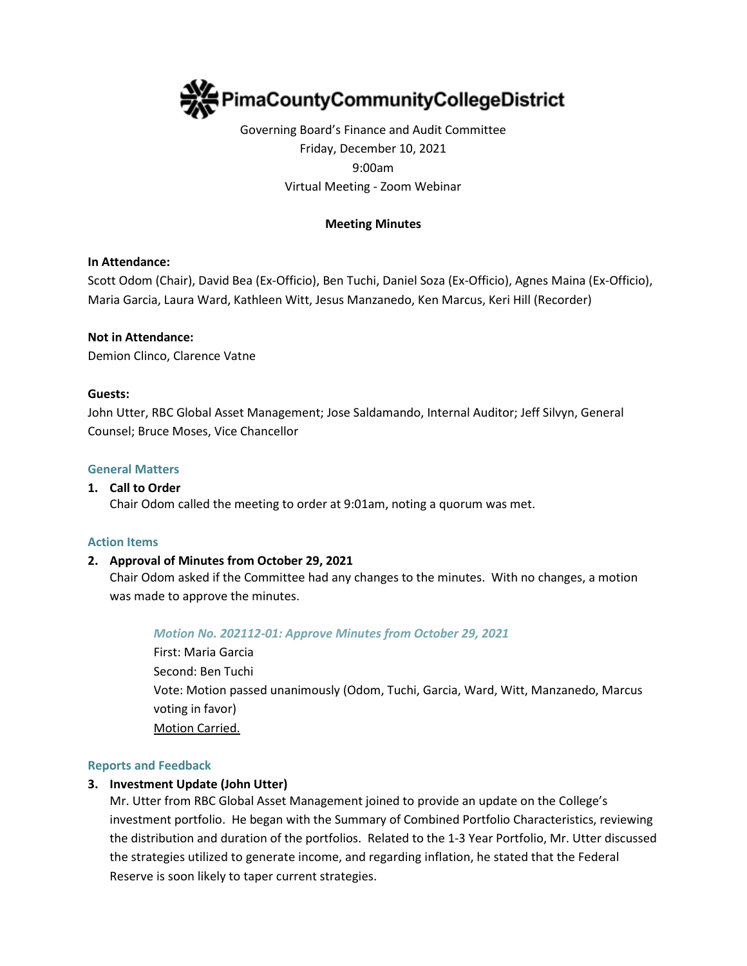

# Governing Board's Finance and Audit Committee Friday, December 10, 2021 9:00am Virtual Meeting - Zoom Webinar

### **Meeting Minutes**

### **In Attendance:**

Scott Odom (Chair), David Bea (Ex-Officio), Ben Tuchi, Daniel Soza (Ex-Officio), Agnes Maina (Ex-Officio), Maria Garcia, Laura Ward, Kathleen Witt, Jesus Manzanedo, Ken Marcus, Keri Hill (Recorder)

#### **Not in Attendance:**

Demion Clinco, Clarence Vatne

#### **Guests:**

John Utter, RBC Global Asset Management; Jose Saldamando, Internal Auditor; Jeff Silvyn, General Counsel; Bruce Moses, Vice Chancellor

#### **General Matters**

#### **1. Call to Order**

Chair Odom called the meeting to order at 9:01am, noting a quorum was met.

#### **Action Items**

### **2. Approval of Minutes from October 29, 2021**

Chair Odom asked if the Committee had any changes to the minutes. With no changes, a motion was made to approve the minutes.

### *Motion No. 202112-01: Approve Minutes from October 29, 2021*

First: Maria Garcia Second: Ben Tuchi Vote: Motion passed unanimously (Odom, Tuchi, Garcia, Ward, Witt, Manzanedo, Marcus voting in favor) Motion Carried.

#### **Reports and Feedback**

### **3. Investment Update (John Utter)**

Mr. Utter from RBC Global Asset Management joined to provide an update on the College's investment portfolio. He began with the Summary of Combined Portfolio Characteristics, reviewing the distribution and duration of the portfolios. Related to the 1-3 Year Portfolio, Mr. Utter discussed the strategies utilized to generate income, and regarding inflation, he stated that the Federal Reserve is soon likely to taper current strategies.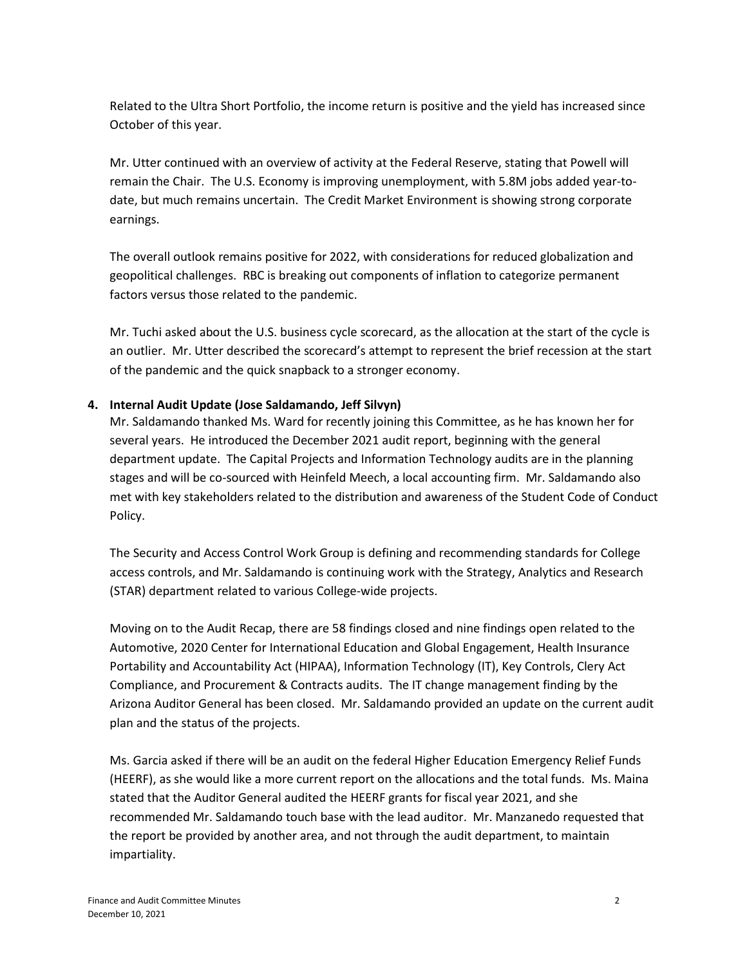Related to the Ultra Short Portfolio, the income return is positive and the yield has increased since October of this year.

Mr. Utter continued with an overview of activity at the Federal Reserve, stating that Powell will remain the Chair. The U.S. Economy is improving unemployment, with 5.8M jobs added year-todate, but much remains uncertain. The Credit Market Environment is showing strong corporate earnings.

The overall outlook remains positive for 2022, with considerations for reduced globalization and geopolitical challenges. RBC is breaking out components of inflation to categorize permanent factors versus those related to the pandemic.

Mr. Tuchi asked about the U.S. business cycle scorecard, as the allocation at the start of the cycle is an outlier. Mr. Utter described the scorecard's attempt to represent the brief recession at the start of the pandemic and the quick snapback to a stronger economy.

### **4. Internal Audit Update (Jose Saldamando, Jeff Silvyn)**

Mr. Saldamando thanked Ms. Ward for recently joining this Committee, as he has known her for several years. He introduced the December 2021 audit report, beginning with the general department update. The Capital Projects and Information Technology audits are in the planning stages and will be co-sourced with Heinfeld Meech, a local accounting firm. Mr. Saldamando also met with key stakeholders related to the distribution and awareness of the Student Code of Conduct Policy.

The Security and Access Control Work Group is defining and recommending standards for College access controls, and Mr. Saldamando is continuing work with the Strategy, Analytics and Research (STAR) department related to various College-wide projects.

Moving on to the Audit Recap, there are 58 findings closed and nine findings open related to the Automotive, 2020 Center for International Education and Global Engagement, Health Insurance Portability and Accountability Act (HIPAA), Information Technology (IT), Key Controls, Clery Act Compliance, and Procurement & Contracts audits. The IT change management finding by the Arizona Auditor General has been closed. Mr. Saldamando provided an update on the current audit plan and the status of the projects.

Ms. Garcia asked if there will be an audit on the federal Higher Education Emergency Relief Funds (HEERF), as she would like a more current report on the allocations and the total funds. Ms. Maina stated that the Auditor General audited the HEERF grants for fiscal year 2021, and she recommended Mr. Saldamando touch base with the lead auditor. Mr. Manzanedo requested that the report be provided by another area, and not through the audit department, to maintain impartiality.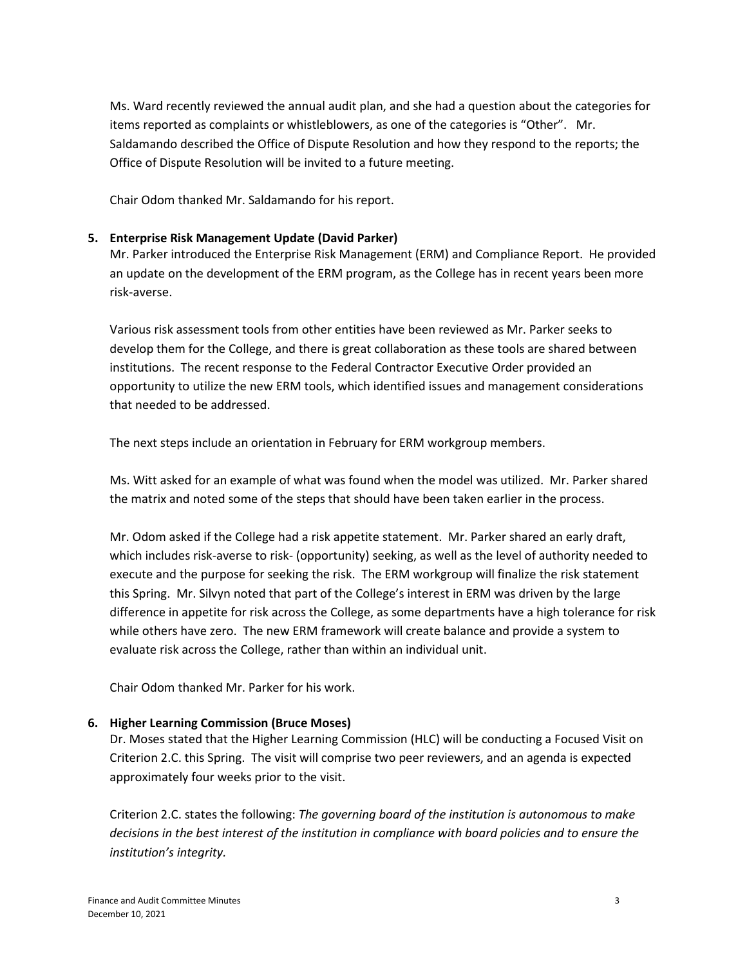Ms. Ward recently reviewed the annual audit plan, and she had a question about the categories for items reported as complaints or whistleblowers, as one of the categories is "Other". Mr. Saldamando described the Office of Dispute Resolution and how they respond to the reports; the Office of Dispute Resolution will be invited to a future meeting.

Chair Odom thanked Mr. Saldamando for his report.

### **5. Enterprise Risk Management Update (David Parker)**

Mr. Parker introduced the Enterprise Risk Management (ERM) and Compliance Report. He provided an update on the development of the ERM program, as the College has in recent years been more risk-averse.

Various risk assessment tools from other entities have been reviewed as Mr. Parker seeks to develop them for the College, and there is great collaboration as these tools are shared between institutions. The recent response to the Federal Contractor Executive Order provided an opportunity to utilize the new ERM tools, which identified issues and management considerations that needed to be addressed.

The next steps include an orientation in February for ERM workgroup members.

Ms. Witt asked for an example of what was found when the model was utilized. Mr. Parker shared the matrix and noted some of the steps that should have been taken earlier in the process.

Mr. Odom asked if the College had a risk appetite statement. Mr. Parker shared an early draft, which includes risk-averse to risk- (opportunity) seeking, as well as the level of authority needed to execute and the purpose for seeking the risk. The ERM workgroup will finalize the risk statement this Spring. Mr. Silvyn noted that part of the College's interest in ERM was driven by the large difference in appetite for risk across the College, as some departments have a high tolerance for risk while others have zero. The new ERM framework will create balance and provide a system to evaluate risk across the College, rather than within an individual unit.

Chair Odom thanked Mr. Parker for his work.

## **6. Higher Learning Commission (Bruce Moses)**

Dr. Moses stated that the Higher Learning Commission (HLC) will be conducting a Focused Visit on Criterion 2.C. this Spring. The visit will comprise two peer reviewers, and an agenda is expected approximately four weeks prior to the visit.

Criterion 2.C. states the following: *The governing board of the institution is autonomous to make decisions in the best interest of the institution in compliance with board policies and to ensure the institution's integrity.*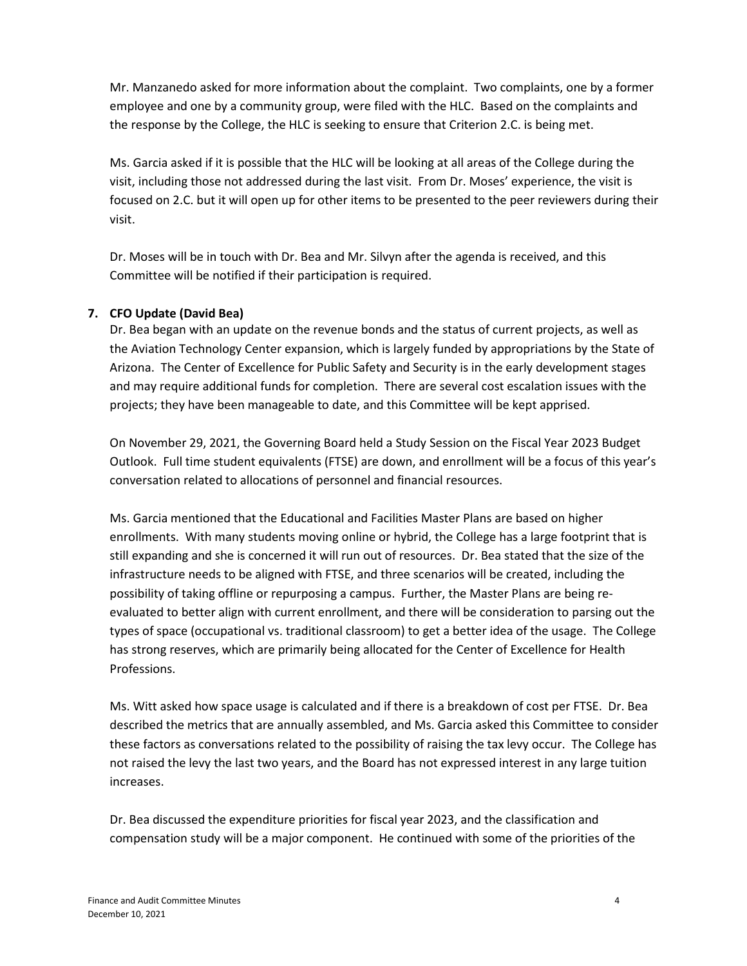Mr. Manzanedo asked for more information about the complaint. Two complaints, one by a former employee and one by a community group, were filed with the HLC. Based on the complaints and the response by the College, the HLC is seeking to ensure that Criterion 2.C. is being met.

Ms. Garcia asked if it is possible that the HLC will be looking at all areas of the College during the visit, including those not addressed during the last visit. From Dr. Moses' experience, the visit is focused on 2.C. but it will open up for other items to be presented to the peer reviewers during their visit.

Dr. Moses will be in touch with Dr. Bea and Mr. Silvyn after the agenda is received, and this Committee will be notified if their participation is required.

## **7. CFO Update (David Bea)**

Dr. Bea began with an update on the revenue bonds and the status of current projects, as well as the Aviation Technology Center expansion, which is largely funded by appropriations by the State of Arizona. The Center of Excellence for Public Safety and Security is in the early development stages and may require additional funds for completion. There are several cost escalation issues with the projects; they have been manageable to date, and this Committee will be kept apprised.

On November 29, 2021, the Governing Board held a Study Session on the Fiscal Year 2023 Budget Outlook. Full time student equivalents (FTSE) are down, and enrollment will be a focus of this year's conversation related to allocations of personnel and financial resources.

Ms. Garcia mentioned that the Educational and Facilities Master Plans are based on higher enrollments. With many students moving online or hybrid, the College has a large footprint that is still expanding and she is concerned it will run out of resources. Dr. Bea stated that the size of the infrastructure needs to be aligned with FTSE, and three scenarios will be created, including the possibility of taking offline or repurposing a campus. Further, the Master Plans are being reevaluated to better align with current enrollment, and there will be consideration to parsing out the types of space (occupational vs. traditional classroom) to get a better idea of the usage. The College has strong reserves, which are primarily being allocated for the Center of Excellence for Health Professions.

Ms. Witt asked how space usage is calculated and if there is a breakdown of cost per FTSE. Dr. Bea described the metrics that are annually assembled, and Ms. Garcia asked this Committee to consider these factors as conversations related to the possibility of raising the tax levy occur. The College has not raised the levy the last two years, and the Board has not expressed interest in any large tuition increases.

Dr. Bea discussed the expenditure priorities for fiscal year 2023, and the classification and compensation study will be a major component. He continued with some of the priorities of the